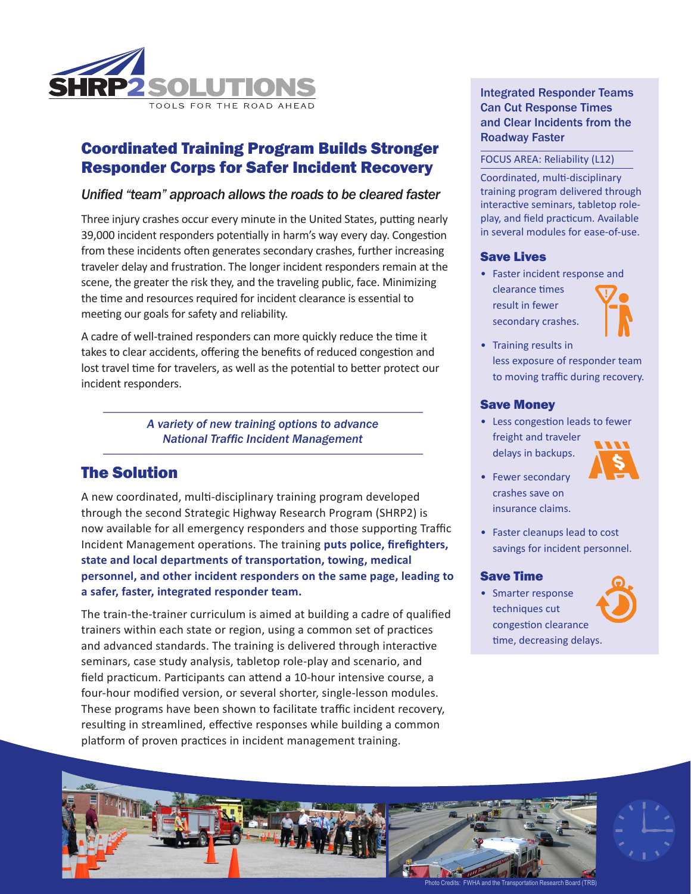

# Coordinated Training Program Builds Stronger Responder Corps for Safer Incident Recovery

### *Unified "team" approach allows the roads to be cleared faster*

Three injury crashes occur every minute in the United States, putting nearly 39,000 incident responders potentially in harm's way every day. Congestion from these incidents often generates secondary crashes, further increasing traveler delay and frustration. The longer incident responders remain at the scene, the greater the risk they, and the traveling public, face. Minimizing the time and resources required for incident clearance is essential to meeting our goals for safety and reliability.

A cadre of well-trained responders can more quickly reduce the time it takes to clear accidents, offering the benefits of reduced congestion and lost travel time for travelers, as well as the potential to better protect our incident responders.

> *A variety of new training options to advance National Traffic Incident Management*

# The Solution

A new coordinated, multi-disciplinary training program developed through the second Strategic Highway Research Program (SHRP2) is now available for all emergency responders and those supporting Traffic Incident Management operations. The training **puts police, firefighters, state and local departments of transportation, towing, medical personnel, and other incident responders on the same page, leading to a safer, faster, integrated responder team.** 

The train-the-trainer curriculum is aimed at building a cadre of qualified trainers within each state or region, using a common set of practices and advanced standards. The training is delivered through interactive seminars, case study analysis, tabletop role-play and scenario, and field practicum. Participants can attend a 10‑hour intensive course, a four-hour modified version, or several shorter, single-lesson modules. These programs have been shown to facilitate traffic incident recovery, resulting in streamlined, effective responses while building a common platform of proven practices in incident management training.

Integrated Responder Teams Can Cut Response Times and Clear Incidents from the Roadway Faster

#### FOCUS AREA: Reliability (L12)

Coordinated, multi-disciplinary training program delivered through interactive seminars, tabletop roleplay, and field practicum. Available in several modules for ease-of-use.

#### Save Lives

• Faster incident response and clearance times result in fewer secondary crashes.



• Training results in less exposure of responder team to moving traffic during recovery.

#### Save Money

• Less congestion leads to fewer freight and traveler delays in backups.



- Fewer secondary crashes save on insurance claims.
- Faster cleanups lead to cost savings for incident personnel.

#### Save Time

• Smarter response techniques cut congestion clearance time, decreasing delays.